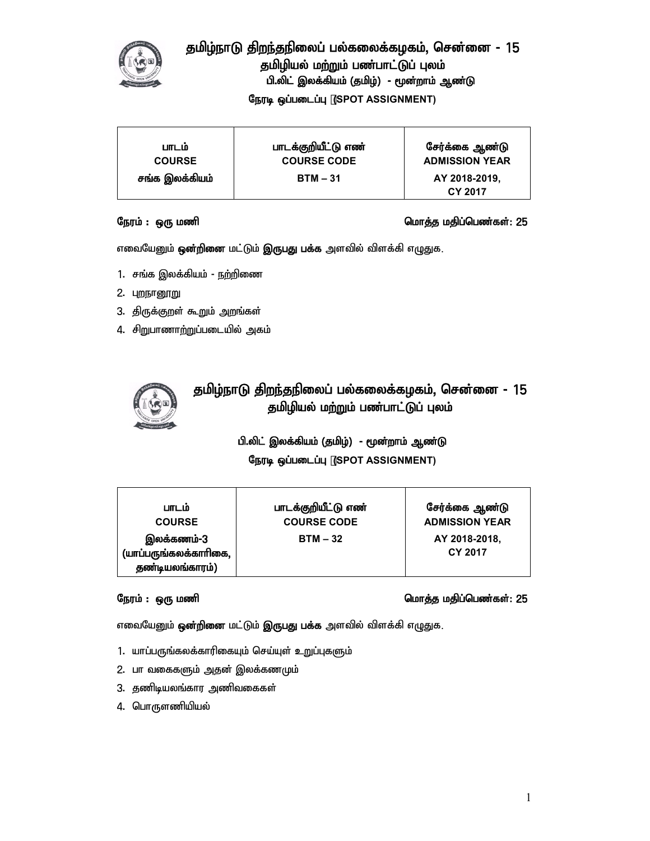

# தமிழ்நாடு திறந்தநிலைப் பல்கலைக்கழகம், சென்னை - 15 தமிழியல் மற்றும் பண்பாட்டுப் புலம் பி.லிட் இலக்கியம் (தமிழ்) - மூன்றாம் ஆண்டு **நேரடி ஒப்படைப்பு (SPOT ASSIGNMENT)**

| பாடம்          | பாடக்குறியீட்டு எண் | சேர்க்கை ஆண்டு           |
|----------------|---------------------|--------------------------|
| <b>COURSE</b>  | <b>COURSE CODE</b>  | <b>ADMISSION YEAR</b>    |
| சங்க இலக்கியம் | $BTM - 31$          | AY 2018-2019,<br>CY 2017 |

## Neuk; : xU kzp nkhj;j kjpg;ngz;fs;**:** 25

எவையேனும் **ஒன்றினை** மட்டும் **இருபது பக்க** அளவில் விளக்கி எழுதுக.

- 1. சங்க இலக்கியம் நற்றிணை
- 2. புறநானூறு
- 3. திருக்குறள் கூறும் அறங்கள்
- 4. சிறுபாணாற்றுப்படையில் அகம்



# தமிழ்நாடு திறந்தநிலைப் பல்கலைக்கழகம், சென்னை - 15 தமிழியல் மற்றும் பண்பாட்டுப் புலம்

## பி.லிட் இலக்கியம் (தமிழ்) - மூன்றாம் ஆண்டு

## **நேரடி ஒப்படைப்பு (SPOT ASSIGNMENT)**

| பாடம்                                                  | பாடக்குறியீட்டு எண் | சேர்க்கை ஆண்டு           |
|--------------------------------------------------------|---------------------|--------------------------|
| <b>COURSE</b>                                          | <b>COURSE CODE</b>  | <b>ADMISSION YEAR</b>    |
| இலக்கணம்-3<br>(யாப்பருங்கலக்காரிகை,<br>தண்டியலங்காரம்) | $BTM - 32$          | AY 2018-2018,<br>CY 2017 |

## Neuk; : xU kzp nkhj;j kjpg;ngz;fs;**:** 25

எவையேனும் **ஒன்றினை** மட்டும் **இருபது பக்க** அளவில் விளக்கி எழுதுக.

- 1. யாப்பருங்கலக்காரிகையும் செய்யுள் உறுப்புகளும்
- 2. பா வகைகளும் அதன் இலக்கணமும்
- 3. தணிடியலங்கார அணிவகைகள்
- 4. பொருளணியியல்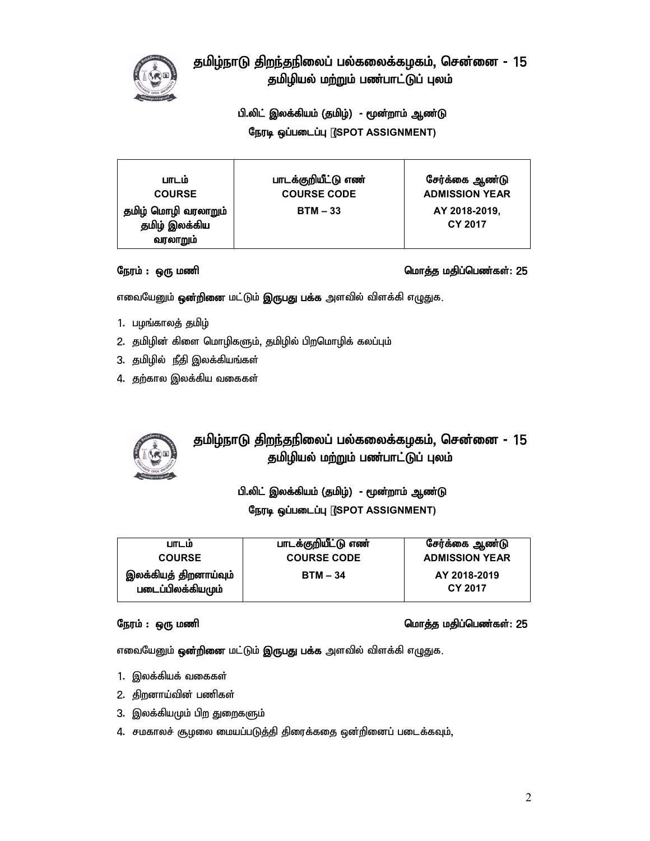

# தமிழ்நாடு திறந்தநிலைப் பல்கலைக்கழகம், சென்னை - 15 தமிழியல் மற்றும் பண்பாட்டுப் புலம்

## பி.லிட் இலக்கியம் (தமிழ்) - மூன்றாம் ஆண்டு

நேரடி ஒப்படைப்பு (SPOT ASSIGNMENT)

| பாடம்                                            | பாடக்குறியீட்டு எண் | சேர்க்கை ஆண்டு                  |
|--------------------------------------------------|---------------------|---------------------------------|
| <b>COURSE</b>                                    | <b>COURSE CODE</b>  | <b>ADMISSION YEAR</b>           |
| தமிழ் மொழி வரலாறும்<br>தமிழ் இலக்கிய<br>வரலாறும் | $BTM - 33$          | AY 2018-2019,<br><b>CY 2017</b> |

## Neuk; : xU kzp nkhj;j kjpg;ngz;fs;**:** 25

எவையேனும் **ஒன்றினை** மட்டும் **இருபது பக்க** அளவில் விளக்கி எழுதுக.

- 1. பழங்காலத் தமிழ்
- 2. தமிழின் கிளை மொழிகளும், தமிழில் பிறமொழிக் கலப்பும்
- 3. தமிழில் நீதி இலக்கியங்கள்
- 4. தற்கால இலக்கிய வகைகள்



# தமிழ்நாடு திறந்தநிலைப் பல்கலைக்கழகம், சென்னை - 15 தமிழியல் மற்றும் பண்பாட்டுப் புலம்

பி.லிட் இலக்கியம் (தமிழ்) - மூன்றாம் ஆண்டு **நேரடி ஒப்படைப்பு (SPOT ASSIGNMENT)** 

| பாடம்                                      | பாடக்குறியீட்டு எண் | சேர்க்கை ஆண்டு          |
|--------------------------------------------|---------------------|-------------------------|
| <b>COURSE</b>                              | <b>COURSE CODE</b>  | <b>ADMISSION YEAR</b>   |
| இலக்கியத் திறனாய்வும்<br>படைப்பிலக்கியமும் | $BTM - 34$          | AY 2018-2019<br>CY 2017 |

### Neuk; : xU kzp nkhj;j kjpg;ngz;fs;**:** 25

எவையேனும் **ஒன்றினை** மட்டும் **இருபது பக்க** அளவில் விளக்கி எழுதுக.

- 1. இலக்கியக் வகைகள்
- 2. திறனாய்வின் பணிகள்
- 3. இலக்கியமும் பிற துறைகளும்
- 4. சமகாலச் சூழலை மையப்படுத்தி திரைக்கதை ஒன்றினைப் படைக்கவும்,